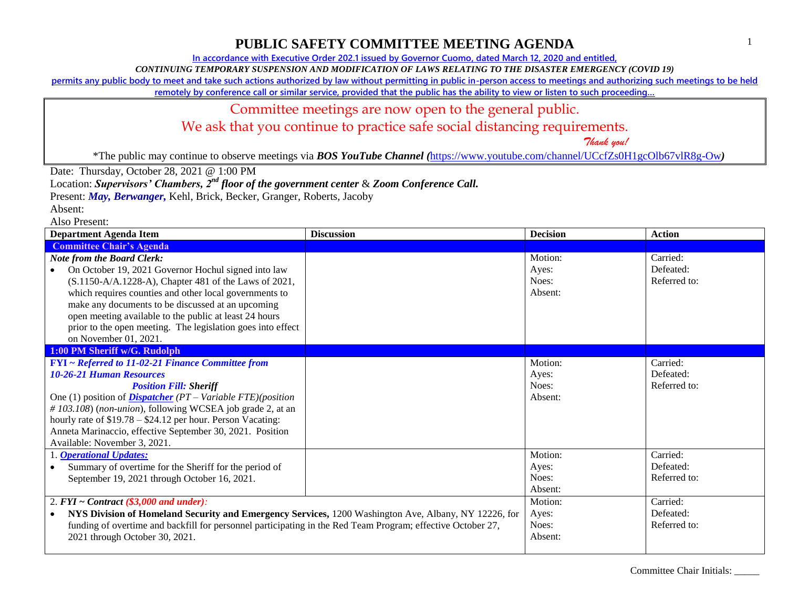**In accordance with Executive Order 202.1 issued by Governor Cuomo, dated March 12, 2020 and entitled,**

*CONTINUING TEMPORARY SUSPENSION AND MODIFICATION OF LAWS RELATING TO THE DISASTER EMERGENCY (COVID 19)*

**permits any public body to meet and take such actions authorized by law without permitting in public in-person access to meetings and authorizing such meetings to be held** 

remotely by conference call or similar service, provided that the public has the ability to view or listen to such proceeding...

### Committee meetings are now open to the general public.

We ask that you continue to practice safe social distancing requirements.

 *Thank you!*

\*The public may continue to observe meetings via *BOS YouTube Channel (*<https://www.youtube.com/channel/UCcfZs0H1gcOlb67vlR8g-Ow>*)*

Date: Thursday, October 28, 2021 @ 1:00 PM

Location: *Supervisors' Chambers, 2nd floor of the government center* & *Zoom Conference Call.*

Present: *May, Berwanger,* Kehl, Brick, Becker, Granger, Roberts, Jacoby

Absent:

| <b>Department Agenda Item</b>                                                                                                                                                                                                                                                                                                                                                                                           | <b>Discussion</b> | <b>Decision</b>                      | <b>Action</b>                         |
|-------------------------------------------------------------------------------------------------------------------------------------------------------------------------------------------------------------------------------------------------------------------------------------------------------------------------------------------------------------------------------------------------------------------------|-------------------|--------------------------------------|---------------------------------------|
| <b>Committee Chair's Agenda</b>                                                                                                                                                                                                                                                                                                                                                                                         |                   |                                      |                                       |
| <b>Note from the Board Clerk:</b><br>On October 19, 2021 Governor Hochul signed into law<br>(S.1150-A/A.1228-A), Chapter 481 of the Laws of 2021,<br>which requires counties and other local governments to<br>make any documents to be discussed at an upcoming<br>open meeting available to the public at least 24 hours<br>prior to the open meeting. The legislation goes into effect<br>on November 01, 2021.      |                   | Motion:<br>Ayes:<br>Noes:<br>Absent: | Carried:<br>Defeated:<br>Referred to: |
| 1:00 PM Sheriff w/G. Rudolph                                                                                                                                                                                                                                                                                                                                                                                            |                   |                                      |                                       |
| FYI ~ Referred to 11-02-21 Finance Committee from<br><b>10-26-21 Human Resources</b><br><b>Position Fill: Sheriff</b><br>One (1) position of <i>Dispatcher</i> $(PT - Variable FTE)(position)$<br>#103.108) (non-union), following WCSEA job grade 2, at an<br>hourly rate of $$19.78 - $24.12$ per hour. Person Vacating:<br>Anneta Marinaccio, effective September 30, 2021. Position<br>Available: November 3, 2021. |                   | Motion:<br>Ayes:<br>Noes:<br>Absent: | Carried:<br>Defeated:<br>Referred to: |
| 1. <b>Operational Updates:</b><br>Summary of overtime for the Sheriff for the period of<br>September 19, 2021 through October 16, 2021.                                                                                                                                                                                                                                                                                 |                   | Motion:<br>Ayes:<br>Noes:<br>Absent: | Carried:<br>Defeated:<br>Referred to: |
| 2. $FYI \sim Contract$ (\$3,000 and under):<br>NYS Division of Homeland Security and Emergency Services, 1200 Washington Ave, Albany, NY 12226, for<br>funding of overtime and backfill for personnel participating in the Red Team Program; effective October 27,<br>2021 through October 30, 2021.                                                                                                                    |                   | Motion:<br>Ayes:<br>Noes:<br>Absent: | Carried:<br>Defeated:<br>Referred to: |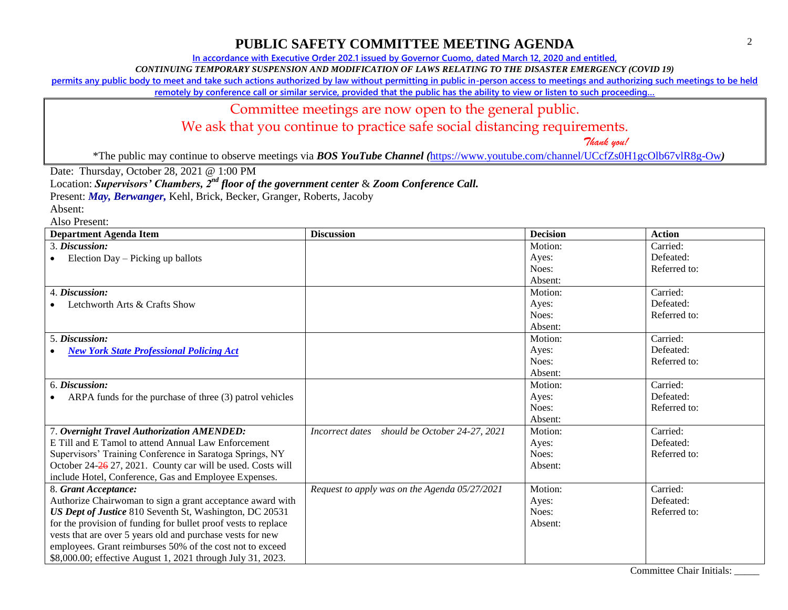**In accordance with Executive Order 202.1 issued by Governor Cuomo, dated March 12, 2020 and entitled,**

*CONTINUING TEMPORARY SUSPENSION AND MODIFICATION OF LAWS RELATING TO THE DISASTER EMERGENCY (COVID 19)*

**permits any public body to meet and take such actions authorized by law without permitting in public in-person access to meetings and authorizing such meetings to be held** 

remotely by conference call or similar service, provided that the public has the ability to view or listen to such proceeding...

#### Committee meetings are now open to the general public.

We ask that you continue to practice safe social distancing requirements.

 *Thank you!*

\*The public may continue to observe meetings via *BOS YouTube Channel (*<https://www.youtube.com/channel/UCcfZs0H1gcOlb67vlR8g-Ow>*)*

Date: Thursday, October 28, 2021 @ 1:00 PM

Location: *Supervisors' Chambers, 2nd floor of the government center* & *Zoom Conference Call.*

Present: *May, Berwanger,* Kehl, Brick, Becker, Granger, Roberts, Jacoby

Absent:

| <b>Department Agenda Item</b>                                  | <b>Discussion</b>                                | <b>Decision</b> | <b>Action</b> |
|----------------------------------------------------------------|--------------------------------------------------|-----------------|---------------|
| 3. Discussion:                                                 |                                                  | Motion:         | Carried:      |
| Election Day – Picking up ballots<br>$\bullet$                 |                                                  | Ayes:           | Defeated:     |
|                                                                |                                                  | Noes:           | Referred to:  |
|                                                                |                                                  | Absent:         |               |
| 4. Discussion:                                                 |                                                  | Motion:         | Carried:      |
| Letchworth Arts & Crafts Show                                  |                                                  | Ayes:           | Defeated:     |
|                                                                |                                                  | Noes:           | Referred to:  |
|                                                                |                                                  | Absent:         |               |
| 5. Discussion:                                                 |                                                  | Motion:         | Carried:      |
| <b>New York State Professional Policing Act</b>                |                                                  | Ayes:           | Defeated:     |
|                                                                |                                                  | Noes:           | Referred to:  |
|                                                                |                                                  | Absent:         |               |
| 6. Discussion:                                                 |                                                  | Motion:         | Carried:      |
| ARPA funds for the purchase of three (3) patrol vehicles       |                                                  | Ayes:           | Defeated:     |
|                                                                |                                                  | Noes:           | Referred to:  |
|                                                                |                                                  | Absent:         |               |
| 7. Overnight Travel Authorization AMENDED:                     | should be October 24-27, 2021<br>Incorrect dates | Motion:         | Carried:      |
| E Till and E Tamol to attend Annual Law Enforcement            |                                                  | Ayes:           | Defeated:     |
| Supervisors' Training Conference in Saratoga Springs, NY       |                                                  | Noes:           | Referred to:  |
| October 24-26 27, 2021. County car will be used. Costs will    |                                                  | Absent:         |               |
| include Hotel, Conference, Gas and Employee Expenses.          |                                                  |                 |               |
| 8. Grant Acceptance:                                           | Request to apply was on the Agenda 05/27/2021    | Motion:         | Carried:      |
| Authorize Chairwoman to sign a grant acceptance award with     |                                                  | Ayes:           | Defeated:     |
| US Dept of Justice 810 Seventh St, Washington, DC 20531        |                                                  | Noes:           | Referred to:  |
| for the provision of funding for bullet proof vests to replace |                                                  | Absent:         |               |
| vests that are over 5 years old and purchase vests for new     |                                                  |                 |               |
| employees. Grant reimburses 50% of the cost not to exceed      |                                                  |                 |               |
| \$8,000.00; effective August 1, 2021 through July 31, 2023.    |                                                  |                 |               |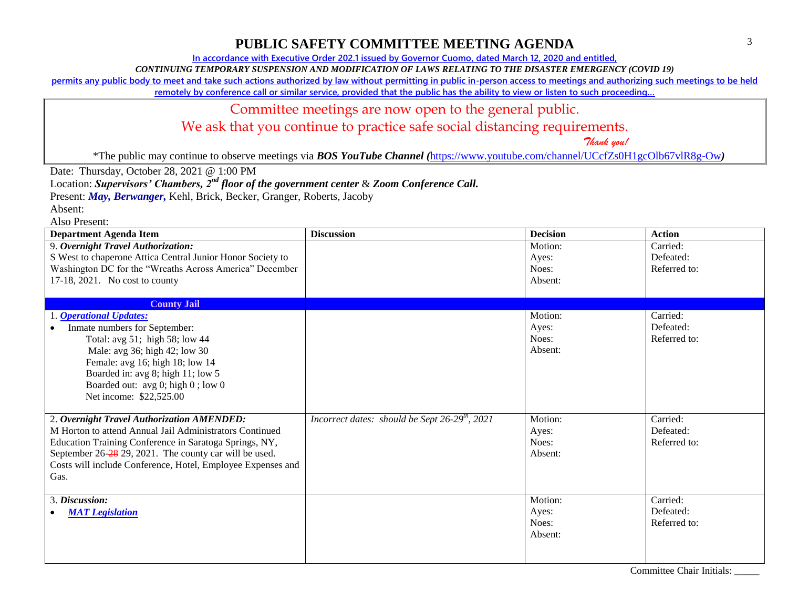**In accordance with Executive Order 202.1 issued by Governor Cuomo, dated March 12, 2020 and entitled,**

*CONTINUING TEMPORARY SUSPENSION AND MODIFICATION OF LAWS RELATING TO THE DISASTER EMERGENCY (COVID 19)*

**permits any public body to meet and take such actions authorized by law without permitting in public in-person access to meetings and authorizing such meetings to be held** 

remotely by conference call or similar service, provided that the public has the ability to view or listen to such proceeding...

### Committee meetings are now open to the general public.

We ask that you continue to practice safe social distancing requirements.

 *Thank you!*

\*The public may continue to observe meetings via *BOS YouTube Channel (*<https://www.youtube.com/channel/UCcfZs0H1gcOlb67vlR8g-Ow>*)*

Date: Thursday, October 28, 2021 @ 1:00 PM

Location: *Supervisors' Chambers, 2nd floor of the government center* & *Zoom Conference Call.*

Present: *May, Berwanger,* Kehl, Brick, Becker, Granger, Roberts, Jacoby

Absent:

| <b>Department Agenda Item</b>                                                                                                                                                                                                                                                                    | <b>Discussion</b>                                          | <b>Decision</b>                      | <b>Action</b>                         |
|--------------------------------------------------------------------------------------------------------------------------------------------------------------------------------------------------------------------------------------------------------------------------------------------------|------------------------------------------------------------|--------------------------------------|---------------------------------------|
| 9. Overnight Travel Authorization:<br>S West to chaperone Attica Central Junior Honor Society to<br>Washington DC for the "Wreaths Across America" December<br>17-18, 2021. No cost to county                                                                                                    |                                                            | Motion:<br>Ayes:<br>Noes:<br>Absent: | Carried:<br>Defeated:<br>Referred to: |
| <b>County Jail</b>                                                                                                                                                                                                                                                                               |                                                            |                                      |                                       |
| 1. <b>Operational Updates:</b><br>Inmate numbers for September:<br>Total: avg 51; high 58; low 44<br>Male: avg 36; high 42; low 30<br>Female: avg 16; high 18; low 14<br>Boarded in: avg 8; high 11; low 5<br>Boarded out: avg 0; high 0; low 0<br>Net income: \$22,525.00                       |                                                            | Motion:<br>Ayes:<br>Noes:<br>Absent: | Carried:<br>Defeated:<br>Referred to: |
| 2. Overnight Travel Authorization AMENDED:<br>M Horton to attend Annual Jail Administrators Continued<br>Education Training Conference in Saratoga Springs, NY,<br>September 26-28 29, 2021. The county car will be used.<br>Costs will include Conference, Hotel, Employee Expenses and<br>Gas. | Incorrect dates: should be Sept 26-29 <sup>th</sup> , 2021 | Motion:<br>Ayes:<br>Noes:<br>Absent: | Carried:<br>Defeated:<br>Referred to: |
| 3. Discussion:<br><b>MAT</b> Legislation                                                                                                                                                                                                                                                         |                                                            | Motion:<br>Ayes:<br>Noes:<br>Absent: | Carried:<br>Defeated:<br>Referred to: |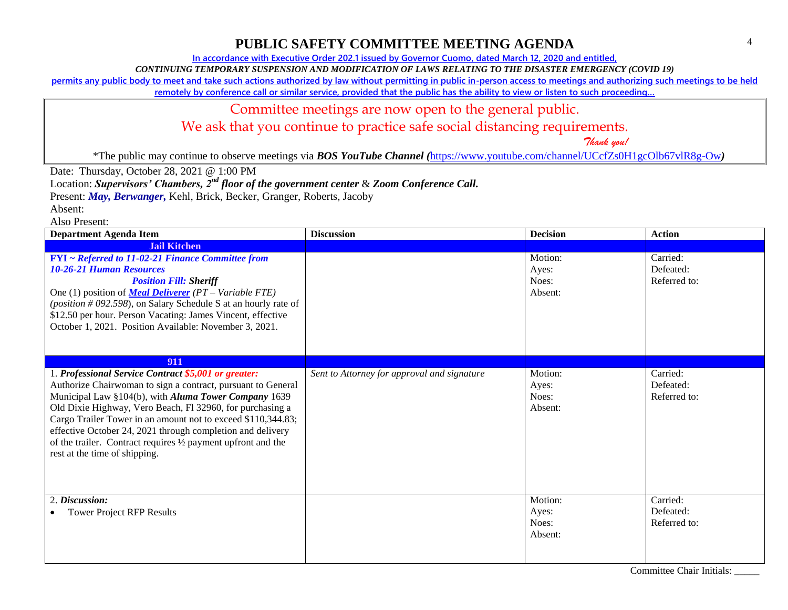**In accordance with Executive Order 202.1 issued by Governor Cuomo, dated March 12, 2020 and entitled,**

*CONTINUING TEMPORARY SUSPENSION AND MODIFICATION OF LAWS RELATING TO THE DISASTER EMERGENCY (COVID 19)*

**permits any public body to meet and take such actions authorized by law without permitting in public in-person access to meetings and authorizing such meetings to be held** 

remotely by conference call or similar service, provided that the public has the ability to view or listen to such proceeding...

#### Committee meetings are now open to the general public.

We ask that you continue to practice safe social distancing requirements.

 *Thank you!*

\*The public may continue to observe meetings via *BOS YouTube Channel (*<https://www.youtube.com/channel/UCcfZs0H1gcOlb67vlR8g-Ow>*)*

Date: Thursday, October 28, 2021 @ 1:00 PM

Location: *Supervisors' Chambers, 2nd floor of the government center* & *Zoom Conference Call.*

Present: *May, Berwanger,* Kehl, Brick, Becker, Granger, Roberts, Jacoby

Absent:

| <b>Department Agenda Item</b>                                                                                                                                                                                                                                                                                                                                                                                                                                             | <b>Discussion</b>                           | <b>Decision</b>                      | <b>Action</b>                         |
|---------------------------------------------------------------------------------------------------------------------------------------------------------------------------------------------------------------------------------------------------------------------------------------------------------------------------------------------------------------------------------------------------------------------------------------------------------------------------|---------------------------------------------|--------------------------------------|---------------------------------------|
| <b>Jail Kitchen</b>                                                                                                                                                                                                                                                                                                                                                                                                                                                       |                                             |                                      |                                       |
| FYI ~ Referred to 11-02-21 Finance Committee from<br><b>10-26-21 Human Resources</b><br><b>Position Fill: Sheriff</b><br>One (1) position of <b>Meal Deliverer</b> ( $PT$ – Variable FTE)<br>(position $#092.598$ ), on Salary Schedule S at an hourly rate of<br>\$12.50 per hour. Person Vacating: James Vincent, effective<br>October 1, 2021. Position Available: November 3, 2021.                                                                                   |                                             | Motion:<br>Ayes:<br>Noes:<br>Absent: | Carried:<br>Defeated:<br>Referred to: |
| 911                                                                                                                                                                                                                                                                                                                                                                                                                                                                       |                                             |                                      |                                       |
| 1. Professional Service Contract \$5,001 or greater:<br>Authorize Chairwoman to sign a contract, pursuant to General<br>Municipal Law §104(b), with Aluma Tower Company 1639<br>Old Dixie Highway, Vero Beach, Fl 32960, for purchasing a<br>Cargo Trailer Tower in an amount not to exceed \$110,344.83;<br>effective October 24, 2021 through completion and delivery<br>of the trailer. Contract requires 1/2 payment upfront and the<br>rest at the time of shipping. | Sent to Attorney for approval and signature | Motion:<br>Ayes:<br>Noes:<br>Absent: | Carried:<br>Defeated:<br>Referred to: |
| 2. Discussion:<br><b>Tower Project RFP Results</b>                                                                                                                                                                                                                                                                                                                                                                                                                        |                                             | Motion:<br>Ayes:<br>Noes:<br>Absent: | Carried:<br>Defeated:<br>Referred to: |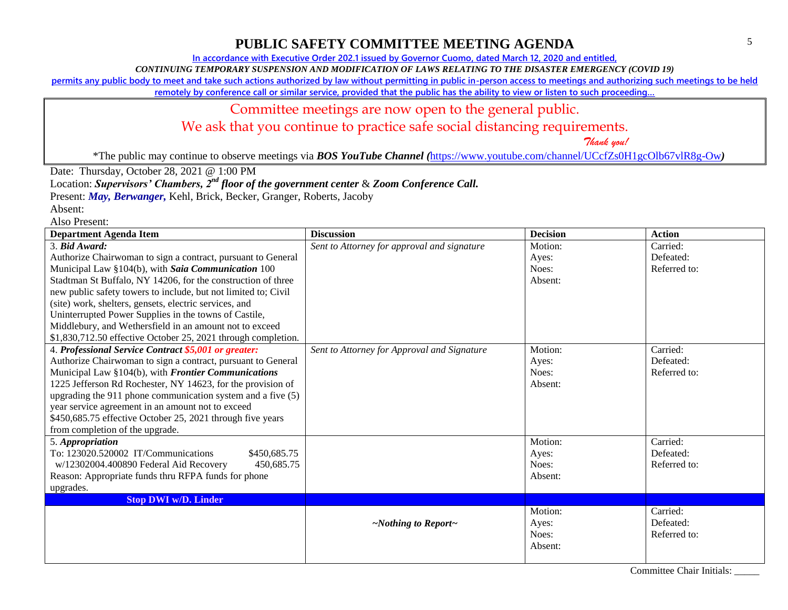**In accordance with Executive Order 202.1 issued by Governor Cuomo, dated March 12, 2020 and entitled,**

*CONTINUING TEMPORARY SUSPENSION AND MODIFICATION OF LAWS RELATING TO THE DISASTER EMERGENCY (COVID 19)*

**permits any public body to meet and take such actions authorized by law without permitting in public in-person access to meetings and authorizing such meetings to be held** 

remotely by conference call or similar service, provided that the public has the ability to view or listen to such proceeding...

## Committee meetings are now open to the general public.

We ask that you continue to practice safe social distancing requirements.

 *Thank you!*

\*The public may continue to observe meetings via *BOS YouTube Channel (*<https://www.youtube.com/channel/UCcfZs0H1gcOlb67vlR8g-Ow>*)*

Date: Thursday, October 28, 2021 @ 1:00 PM

Location: *Supervisors' Chambers, 2nd floor of the government center* & *Zoom Conference Call.*

Present: *May, Berwanger,* Kehl, Brick, Becker, Granger, Roberts, Jacoby

Absent:

| <b>Department Agenda Item</b>                                   | <b>Discussion</b>                           | <b>Decision</b> | <b>Action</b> |
|-----------------------------------------------------------------|---------------------------------------------|-----------------|---------------|
| 3. Bid Award:                                                   | Sent to Attorney for approval and signature | Motion:         | Carried:      |
| Authorize Chairwoman to sign a contract, pursuant to General    |                                             | Ayes:           | Defeated:     |
| Municipal Law §104(b), with Saia Communication 100              |                                             | Noes:           | Referred to:  |
| Stadtman St Buffalo, NY 14206, for the construction of three    |                                             | Absent:         |               |
| new public safety towers to include, but not limited to; Civil  |                                             |                 |               |
| (site) work, shelters, gensets, electric services, and          |                                             |                 |               |
| Uninterrupted Power Supplies in the towns of Castile,           |                                             |                 |               |
| Middlebury, and Wethersfield in an amount not to exceed         |                                             |                 |               |
| \$1,830,712.50 effective October 25, 2021 through completion.   |                                             |                 |               |
| 4. Professional Service Contract \$5,001 or greater:            | Sent to Attorney for Approval and Signature | Motion:         | Carried:      |
| Authorize Chairwoman to sign a contract, pursuant to General    |                                             | Ayes:           | Defeated:     |
| Municipal Law §104(b), with Frontier Communications             |                                             | Noes:           | Referred to:  |
| 1225 Jefferson Rd Rochester, NY 14623, for the provision of     |                                             | Absent:         |               |
| upgrading the $911$ phone communication system and a five $(5)$ |                                             |                 |               |
| year service agreement in an amount not to exceed               |                                             |                 |               |
| \$450,685.75 effective October 25, 2021 through five years      |                                             |                 |               |
| from completion of the upgrade.                                 |                                             |                 |               |
| 5. Appropriation                                                |                                             | Motion:         | Carried:      |
| To: 123020.520002 IT/Communications<br>\$450,685.75             |                                             | Ayes:           | Defeated:     |
| 450,685.75<br>w/12302004.400890 Federal Aid Recovery            |                                             | Noes:           | Referred to:  |
| Reason: Appropriate funds thru RFPA funds for phone             |                                             | Absent:         |               |
| upgrades.                                                       |                                             |                 |               |
| <b>Stop DWI w/D. Linder</b>                                     |                                             |                 |               |
|                                                                 |                                             | Motion:         | Carried:      |
|                                                                 | $\sim$ Nothing to Report $\sim$             | Ayes:           | Defeated:     |
|                                                                 |                                             | Noes:           | Referred to:  |
|                                                                 |                                             | Absent:         |               |
|                                                                 |                                             |                 |               |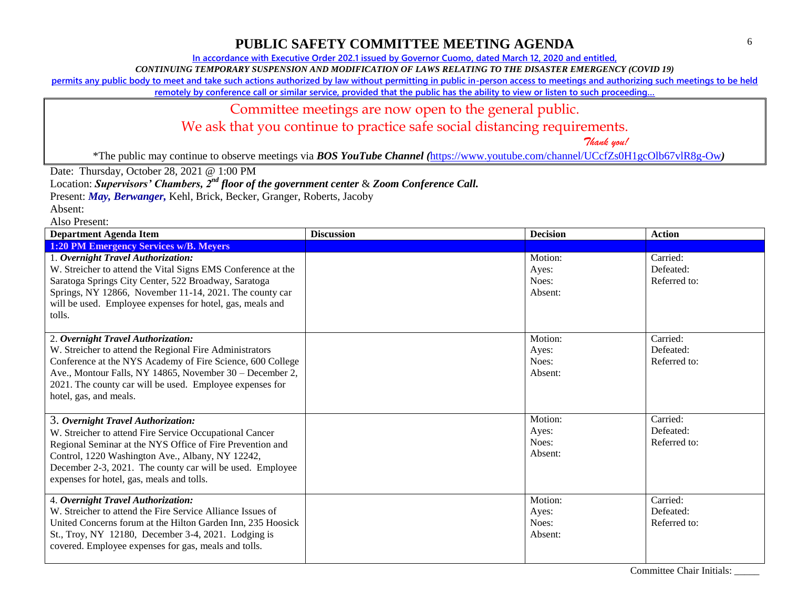**In accordance with Executive Order 202.1 issued by Governor Cuomo, dated March 12, 2020 and entitled,**

*CONTINUING TEMPORARY SUSPENSION AND MODIFICATION OF LAWS RELATING TO THE DISASTER EMERGENCY (COVID 19)*

**permits any public body to meet and take such actions authorized by law without permitting in public in-person access to meetings and authorizing such meetings to be held** 

remotely by conference call or similar service, provided that the public has the ability to view or listen to such proceeding...

#### Committee meetings are now open to the general public.

We ask that you continue to practice safe social distancing requirements.

 *Thank you!*

\*The public may continue to observe meetings via *BOS YouTube Channel (*<https://www.youtube.com/channel/UCcfZs0H1gcOlb67vlR8g-Ow>*)*

Date: Thursday, October 28, 2021 @ 1:00 PM

Location: *Supervisors' Chambers, 2nd floor of the government center* & *Zoom Conference Call.*

Present: *May, Berwanger,* Kehl, Brick, Becker, Granger, Roberts, Jacoby

Absent:

| <b>Department Agenda Item</b>                                                                                                                                                                                                                                                                                            | <b>Discussion</b> | <b>Decision</b>                      | <b>Action</b>                         |
|--------------------------------------------------------------------------------------------------------------------------------------------------------------------------------------------------------------------------------------------------------------------------------------------------------------------------|-------------------|--------------------------------------|---------------------------------------|
| <b>1:20 PM Emergency Services w/B. Meyers</b>                                                                                                                                                                                                                                                                            |                   |                                      |                                       |
| 1. Overnight Travel Authorization:<br>W. Streicher to attend the Vital Signs EMS Conference at the<br>Saratoga Springs City Center, 522 Broadway, Saratoga<br>Springs, NY 12866, November 11-14, 2021. The county car<br>will be used. Employee expenses for hotel, gas, meals and<br>tolls.                             |                   | Motion:<br>Ayes:<br>Noes:<br>Absent: | Carried:<br>Defeated:<br>Referred to: |
| 2. Overnight Travel Authorization:<br>W. Streicher to attend the Regional Fire Administrators<br>Conference at the NYS Academy of Fire Science, 600 College<br>Ave., Montour Falls, NY 14865, November 30 – December 2,<br>2021. The county car will be used. Employee expenses for<br>hotel, gas, and meals.            |                   | Motion:<br>Ayes:<br>Noes:<br>Absent: | Carried:<br>Defeated:<br>Referred to: |
| 3. Overnight Travel Authorization:<br>W. Streicher to attend Fire Service Occupational Cancer<br>Regional Seminar at the NYS Office of Fire Prevention and<br>Control, 1220 Washington Ave., Albany, NY 12242,<br>December 2-3, 2021. The county car will be used. Employee<br>expenses for hotel, gas, meals and tolls. |                   | Motion:<br>Ayes:<br>Noes:<br>Absent: | Carried:<br>Defeated:<br>Referred to: |
| 4. Overnight Travel Authorization:<br>W. Streicher to attend the Fire Service Alliance Issues of<br>United Concerns forum at the Hilton Garden Inn, 235 Hoosick<br>St., Troy, NY 12180, December 3-4, 2021. Lodging is<br>covered. Employee expenses for gas, meals and tolls.                                           |                   | Motion:<br>Ayes:<br>Noes:<br>Absent: | Carried:<br>Defeated:<br>Referred to: |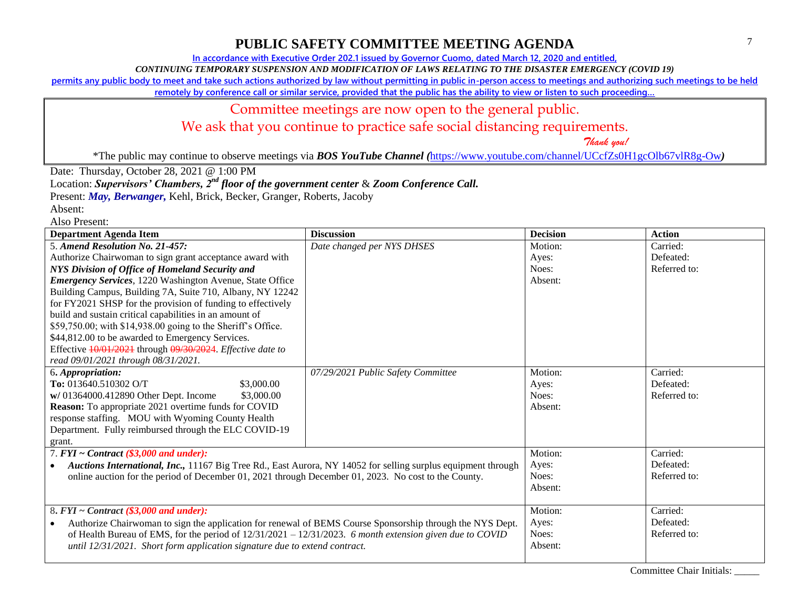**In accordance with Executive Order 202.1 issued by Governor Cuomo, dated March 12, 2020 and entitled,**

*CONTINUING TEMPORARY SUSPENSION AND MODIFICATION OF LAWS RELATING TO THE DISASTER EMERGENCY (COVID 19)*

**permits any public body to meet and take such actions authorized by law without permitting in public in-person access to meetings and authorizing such meetings to be held** 

remotely by conference call or similar service, provided that the public has the ability to view or listen to such proceeding...

### Committee meetings are now open to the general public.

We ask that you continue to practice safe social distancing requirements.

 *Thank you!*

\*The public may continue to observe meetings via *BOS YouTube Channel (*<https://www.youtube.com/channel/UCcfZs0H1gcOlb67vlR8g-Ow>*)*

Date: Thursday, October 28, 2021 @ 1:00 PM

Location: *Supervisors' Chambers, 2nd floor of the government center* & *Zoom Conference Call.*

Present: *May, Berwanger,* Kehl, Brick, Becker, Granger, Roberts, Jacoby

Absent: Also Present:

| тізі і тезепі.<br><b>Department Agenda Item</b>                                                                            | <b>Discussion</b>                  | <b>Decision</b> | <b>Action</b> |
|----------------------------------------------------------------------------------------------------------------------------|------------------------------------|-----------------|---------------|
| 5. Amend Resolution No. 21-457:                                                                                            | Date changed per NYS DHSES         | Motion:         | Carried:      |
| Authorize Chairwoman to sign grant acceptance award with                                                                   |                                    | Ayes:           | Defeated:     |
| NYS Division of Office of Homeland Security and                                                                            |                                    | Noes:           | Referred to:  |
|                                                                                                                            |                                    | Absent:         |               |
| <b>Emergency Services</b> , 1220 Washington Avenue, State Office                                                           |                                    |                 |               |
| Building Campus, Building 7A, Suite 710, Albany, NY 12242                                                                  |                                    |                 |               |
| for FY2021 SHSP for the provision of funding to effectively                                                                |                                    |                 |               |
| build and sustain critical capabilities in an amount of                                                                    |                                    |                 |               |
| \$59,750.00; with \$14,938.00 going to the Sheriff's Office.                                                               |                                    |                 |               |
| \$44,812.00 to be awarded to Emergency Services.                                                                           |                                    |                 |               |
| Effective 10/01/2021 through 09/30/2024. Effective date to                                                                 |                                    |                 |               |
| read 09/01/2021 through 08/31/2021.                                                                                        |                                    |                 |               |
| 6. Appropriation:                                                                                                          | 07/29/2021 Public Safety Committee | Motion:         | Carried:      |
| To: 013640.510302 O/T<br>\$3,000.00                                                                                        |                                    | Ayes:           | Defeated:     |
| w/ 01364000.412890 Other Dept. Income<br>\$3,000.00                                                                        |                                    | Noes:           | Referred to:  |
| Reason: To appropriate 2021 overtime funds for COVID                                                                       |                                    | Absent:         |               |
| response staffing. MOU with Wyoming County Health                                                                          |                                    |                 |               |
| Department. Fully reimbursed through the ELC COVID-19                                                                      |                                    |                 |               |
| grant.                                                                                                                     |                                    |                 |               |
| 7. $FYI \sim Contract$ (\$3,000 and under):                                                                                |                                    | Motion:         | Carried:      |
| Auctions International, Inc., 11167 Big Tree Rd., East Aurora, NY 14052 for selling surplus equipment through<br>$\bullet$ |                                    | Ayes:           | Defeated:     |
| online auction for the period of December 01, 2021 through December 01, 2023. No cost to the County.                       |                                    | Noes:           | Referred to:  |
|                                                                                                                            |                                    | Absent:         |               |
|                                                                                                                            |                                    |                 |               |
| 8. $FYI \sim$ Contract (\$3,000 and under):                                                                                |                                    | Motion:         | Carried:      |
| Authorize Chairwoman to sign the application for renewal of BEMS Course Sponsorship through the NYS Dept.<br>$\bullet$     |                                    | Ayes:           | Defeated:     |
| of Health Bureau of EMS, for the period of $12/31/2021 - 12/31/2023$ . 6 month extension given due to COVID                |                                    | Noes:           | Referred to:  |
| until 12/31/2021. Short form application signature due to extend contract.                                                 |                                    | Absent:         |               |
|                                                                                                                            |                                    |                 |               |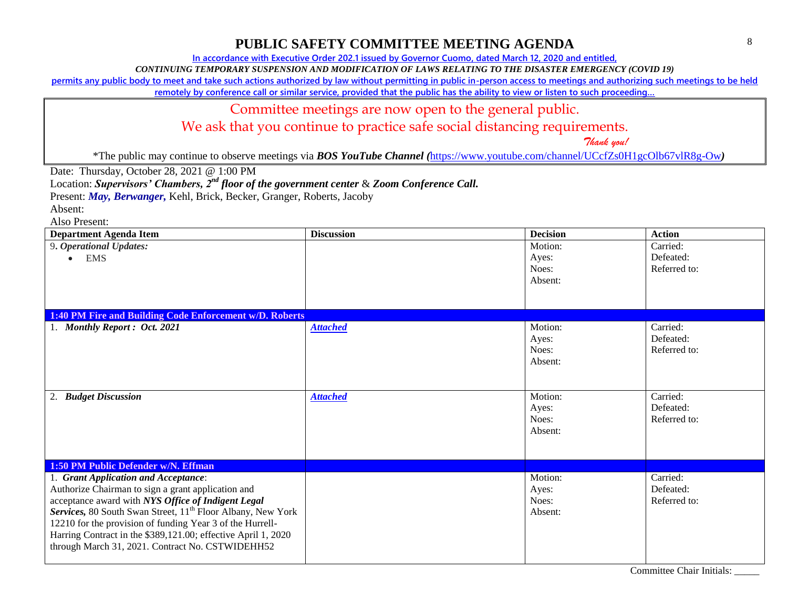**In accordance with Executive Order 202.1 issued by Governor Cuomo, dated March 12, 2020 and entitled,**

*CONTINUING TEMPORARY SUSPENSION AND MODIFICATION OF LAWS RELATING TO THE DISASTER EMERGENCY (COVID 19)*

**permits any public body to meet and take such actions authorized by law without permitting in public in-person access to meetings and authorizing such meetings to be held** 

remotely by conference call or similar service, provided that the public has the ability to view or listen to such proceeding...

#### Committee meetings are now open to the general public.

We ask that you continue to practice safe social distancing requirements.

 *Thank you!*

\*The public may continue to observe meetings via *BOS YouTube Channel (*<https://www.youtube.com/channel/UCcfZs0H1gcOlb67vlR8g-Ow>*)*

Date: Thursday, October 28, 2021 @ 1:00 PM

Location: *Supervisors' Chambers, 2nd floor of the government center* & *Zoom Conference Call.*

Present: *May, Berwanger,* Kehl, Brick, Becker, Granger, Roberts, Jacoby

Absent:

| <b>Department Agenda Item</b>                                           | <b>Discussion</b> | <b>Decision</b> | <b>Action</b> |
|-------------------------------------------------------------------------|-------------------|-----------------|---------------|
| 9. Operational Updates:                                                 |                   | Motion:         | Carried:      |
| <b>EMS</b>                                                              |                   | Ayes:           | Defeated:     |
|                                                                         |                   | Noes:           | Referred to:  |
|                                                                         |                   | Absent:         |               |
|                                                                         |                   |                 |               |
|                                                                         |                   |                 |               |
| 1:40 PM Fire and Building Code Enforcement w/D. Roberts                 |                   |                 |               |
| 1. Monthly Report: Oct. 2021                                            | <b>Attached</b>   | Motion:         | Carried:      |
|                                                                         |                   | Ayes:           | Defeated:     |
|                                                                         |                   | Noes:           | Referred to:  |
|                                                                         |                   | Absent:         |               |
|                                                                         |                   |                 |               |
|                                                                         |                   |                 |               |
| 2. Budget Discussion                                                    | <b>Attached</b>   | Motion:         | Carried:      |
|                                                                         |                   | Ayes:           | Defeated:     |
|                                                                         |                   | Noes:           | Referred to:  |
|                                                                         |                   | Absent:         |               |
|                                                                         |                   |                 |               |
|                                                                         |                   |                 |               |
| 1:50 PM Public Defender w/N. Effman                                     |                   |                 |               |
| 1. Grant Application and Acceptance:                                    |                   | Motion:         | Carried:      |
| Authorize Chairman to sign a grant application and                      |                   | Ayes:           | Defeated:     |
| acceptance award with NYS Office of Indigent Legal                      |                   | Noes:           | Referred to:  |
| Services, 80 South Swan Street, 11 <sup>th</sup> Floor Albany, New York |                   | Absent:         |               |
| 12210 for the provision of funding Year 3 of the Hurrell-               |                   |                 |               |
| Harring Contract in the \$389,121.00; effective April 1, 2020           |                   |                 |               |
| through March 31, 2021. Contract No. CSTWIDEHH52                        |                   |                 |               |
|                                                                         |                   |                 |               |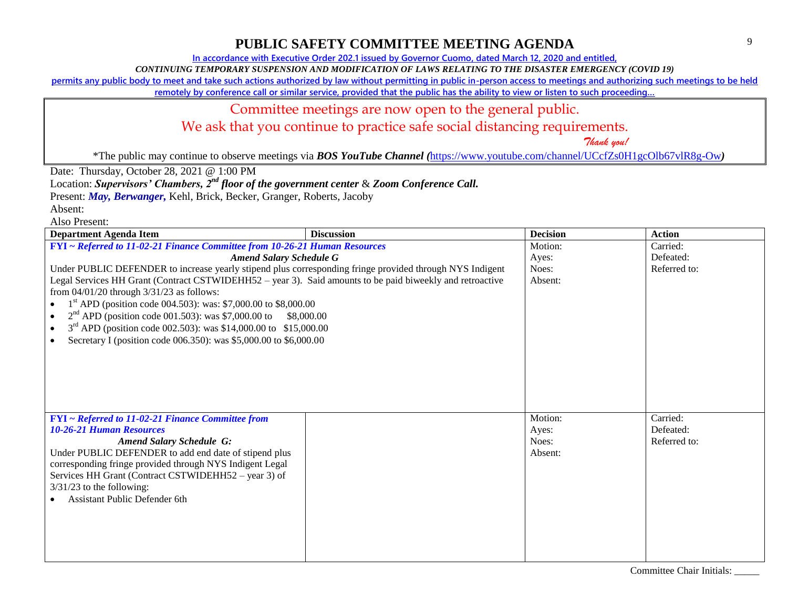**In accordance with Executive Order 202.1 issued by Governor Cuomo, dated March 12, 2020 and entitled,**

*CONTINUING TEMPORARY SUSPENSION AND MODIFICATION OF LAWS RELATING TO THE DISASTER EMERGENCY (COVID 19)*

**permits any public body to meet and take such actions authorized by law without permitting in public in-person access to meetings and authorizing such meetings to be held** 

remotely by conference call or similar service, provided that the public has the ability to view or listen to such proceeding...

### Committee meetings are now open to the general public.

We ask that you continue to practice safe social distancing requirements.

 *Thank you!*

\*The public may continue to observe meetings via *BOS YouTube Channel (*<https://www.youtube.com/channel/UCcfZs0H1gcOlb67vlR8g-Ow>*)*

Date: Thursday, October 28, 2021 @ 1:00 PM

Location: *Supervisors' Chambers, 2nd floor of the government center* & *Zoom Conference Call.*

Present: *May, Berwanger,* Kehl, Brick, Becker, Granger, Roberts, Jacoby

Absent:

| <b>Department Agenda Item</b>                                                                             | <b>Discussion</b> | <b>Decision</b> | <b>Action</b> |
|-----------------------------------------------------------------------------------------------------------|-------------------|-----------------|---------------|
| FYI ~ Referred to 11-02-21 Finance Committee from 10-26-21 Human Resources                                |                   | Motion:         | Carried:      |
| <b>Amend Salary Schedule G</b>                                                                            |                   | Ayes:           | Defeated:     |
| Under PUBLIC DEFENDER to increase yearly stipend plus corresponding fringe provided through NYS Indigent  |                   | Noes:           | Referred to:  |
| Legal Services HH Grant (Contract CSTWIDEHH52 – year 3). Said amounts to be paid biweekly and retroactive |                   | Absent:         |               |
| from $04/01/20$ through $3/31/23$ as follows:                                                             |                   |                 |               |
| $1st$ APD (position code 004.503): was: \$7,000.00 to \$8,000.00                                          |                   |                 |               |
| $2nd$ APD (position code 001.503): was \$7,000.00 to \$8,000.00                                           |                   |                 |               |
| $3rd$ APD (position code 002.503): was \$14,000.00 to \$15,000.00<br>$\bullet$                            |                   |                 |               |
| Secretary I (position code 006.350): was \$5,000.00 to \$6,000.00                                         |                   |                 |               |
|                                                                                                           |                   |                 |               |
|                                                                                                           |                   |                 |               |
|                                                                                                           |                   |                 |               |
|                                                                                                           |                   |                 |               |
|                                                                                                           |                   |                 |               |
|                                                                                                           |                   |                 |               |
| $FYI \sim Referred$ to 11-02-21 Finance Committee from                                                    |                   | Motion:         | Carried:      |
| <b>10-26-21 Human Resources</b>                                                                           |                   | Ayes:           | Defeated:     |
| <b>Amend Salary Schedule G:</b>                                                                           |                   | Noes:           | Referred to:  |
| Under PUBLIC DEFENDER to add end date of stipend plus                                                     |                   | Absent:         |               |
| corresponding fringe provided through NYS Indigent Legal                                                  |                   |                 |               |
| Services HH Grant (Contract CSTWIDEHH52 – year 3) of                                                      |                   |                 |               |
| $3/31/23$ to the following:                                                                               |                   |                 |               |
| <b>Assistant Public Defender 6th</b>                                                                      |                   |                 |               |
|                                                                                                           |                   |                 |               |
|                                                                                                           |                   |                 |               |
|                                                                                                           |                   |                 |               |
|                                                                                                           |                   |                 |               |
|                                                                                                           |                   |                 |               |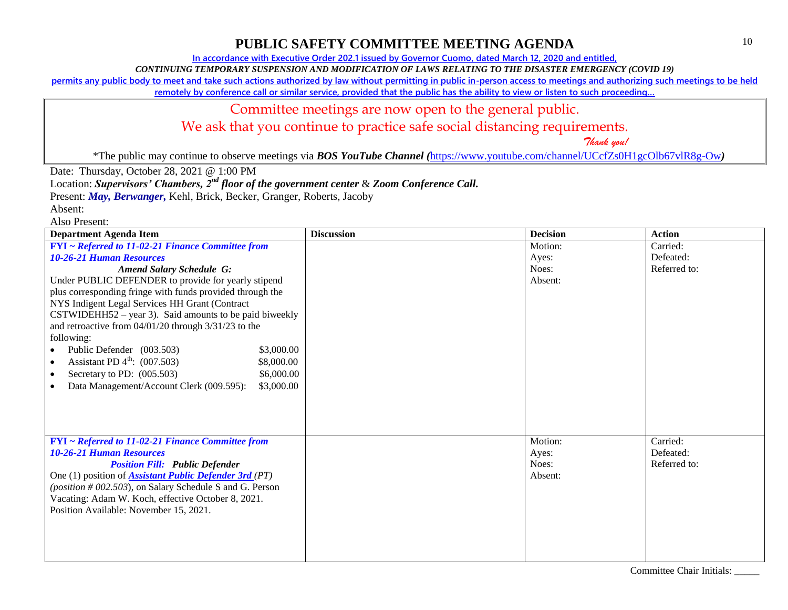**In accordance with Executive Order 202.1 issued by Governor Cuomo, dated March 12, 2020 and entitled,**

*CONTINUING TEMPORARY SUSPENSION AND MODIFICATION OF LAWS RELATING TO THE DISASTER EMERGENCY (COVID 19)*

**permits any public body to meet and take such actions authorized by law without permitting in public in-person access to meetings and authorizing such meetings to be held** 

remotely by conference call or similar service, provided that the public has the ability to view or listen to such proceeding...

#### Committee meetings are now open to the general public.

We ask that you continue to practice safe social distancing requirements.

 *Thank you!*

\*The public may continue to observe meetings via *BOS YouTube Channel (*<https://www.youtube.com/channel/UCcfZs0H1gcOlb67vlR8g-Ow>*)*

Date: Thursday, October 28, 2021 @ 1:00 PM

Location: *Supervisors' Chambers, 2nd floor of the government center* & *Zoom Conference Call.*

Present: *May, Berwanger,* Kehl, Brick, Becker, Granger, Roberts, Jacoby

Absent:

| <b>Department Agenda Item</b>                                 | <b>Discussion</b> | <b>Decision</b> | <b>Action</b> |
|---------------------------------------------------------------|-------------------|-----------------|---------------|
| <b>FYI</b> ~ Referred to 11-02-21 Finance Committee from      |                   | Motion:         | Carried:      |
| <b>10-26-21 Human Resources</b>                               |                   | Ayes:           | Defeated:     |
| <b>Amend Salary Schedule G:</b>                               |                   | Noes:           | Referred to:  |
| Under PUBLIC DEFENDER to provide for yearly stipend           |                   | Absent:         |               |
| plus corresponding fringe with funds provided through the     |                   |                 |               |
| NYS Indigent Legal Services HH Grant (Contract                |                   |                 |               |
| $CSTWIDEHH52 - year 3$ ). Said amounts to be paid biweekly    |                   |                 |               |
| and retroactive from $04/01/20$ through $3/31/23$ to the      |                   |                 |               |
| following:                                                    |                   |                 |               |
| Public Defender (003.503)<br>\$3,000.00                       |                   |                 |               |
| Assistant PD $4^{\text{th}}$ : (007.503)<br>\$8,000.00        |                   |                 |               |
| Secretary to PD: $(005.503)$<br>\$6,000.00<br>$\bullet$       |                   |                 |               |
| Data Management/Account Clerk (009.595):<br>\$3,000.00        |                   |                 |               |
|                                                               |                   |                 |               |
|                                                               |                   |                 |               |
|                                                               |                   |                 |               |
| $FYI \sim Ref{erred to 11-02-21}$ Finance Committee from      |                   | Motion:         | Carried:      |
| <b>10-26-21 Human Resources</b>                               |                   | Ayes:           | Defeated:     |
| <b>Position Fill: Public Defender</b>                         |                   | Noes:           | Referred to:  |
| One (1) position of <b>Assistant Public Defender 3rd</b> (PT) |                   | Absent:         |               |
| (position $#002.503$ ), on Salary Schedule S and G. Person    |                   |                 |               |
| Vacating: Adam W. Koch, effective October 8, 2021.            |                   |                 |               |
| Position Available: November 15, 2021.                        |                   |                 |               |
|                                                               |                   |                 |               |
|                                                               |                   |                 |               |
|                                                               |                   |                 |               |
|                                                               |                   |                 |               |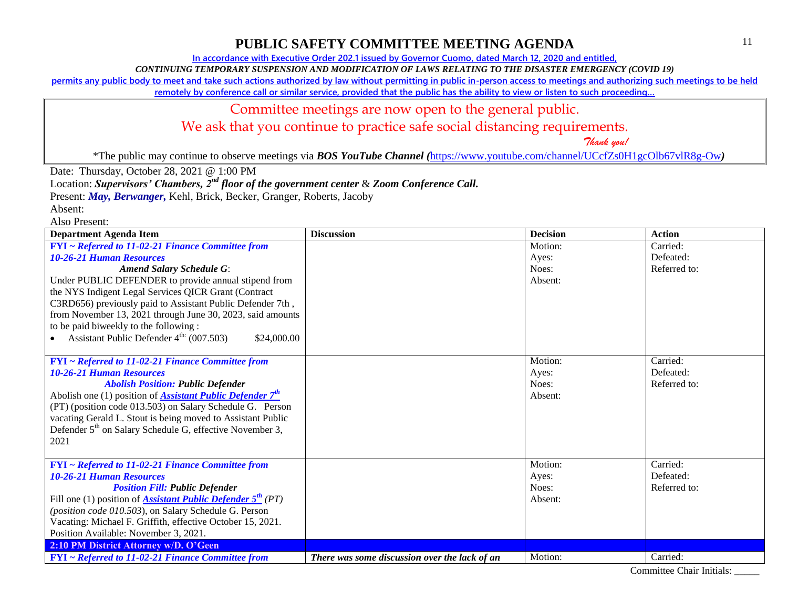**In accordance with Executive Order 202.1 issued by Governor Cuomo, dated March 12, 2020 and entitled,**

*CONTINUING TEMPORARY SUSPENSION AND MODIFICATION OF LAWS RELATING TO THE DISASTER EMERGENCY (COVID 19)*

**permits any public body to meet and take such actions authorized by law without permitting in public in-person access to meetings and authorizing such meetings to be held** 

remotely by conference call or similar service, provided that the public has the ability to view or listen to such proceeding...

### Committee meetings are now open to the general public.

We ask that you continue to practice safe social distancing requirements.

 *Thank you!*

\*The public may continue to observe meetings via *BOS YouTube Channel (*<https://www.youtube.com/channel/UCcfZs0H1gcOlb67vlR8g-Ow>*)*

Date: Thursday, October 28, 2021 @ 1:00 PM

Location: *Supervisors' Chambers, 2nd floor of the government center* & *Zoom Conference Call.*

Present: *May, Berwanger,* Kehl, Brick, Becker, Granger, Roberts, Jacoby

Absent:

| <b>Department Agenda Item</b>                                                         | <b>Discussion</b>                             | <b>Decision</b> | <b>Action</b> |
|---------------------------------------------------------------------------------------|-----------------------------------------------|-----------------|---------------|
| FYI ~ Referred to 11-02-21 Finance Committee from                                     |                                               | Motion:         | Carried:      |
| <b>10-26-21 Human Resources</b>                                                       |                                               | Ayes:           | Defeated:     |
| <b>Amend Salary Schedule G:</b>                                                       |                                               | Noes:           | Referred to:  |
| Under PUBLIC DEFENDER to provide annual stipend from                                  |                                               | Absent:         |               |
| the NYS Indigent Legal Services QICR Grant (Contract                                  |                                               |                 |               |
| C3RD656) previously paid to Assistant Public Defender 7th,                            |                                               |                 |               |
| from November 13, 2021 through June 30, 2023, said amounts                            |                                               |                 |               |
| to be paid biweekly to the following :                                                |                                               |                 |               |
| Assistant Public Defender $4^{\text{th}}$ (007.503)<br>\$24,000.00                    |                                               |                 |               |
|                                                                                       |                                               |                 |               |
| FYI ~ Referred to 11-02-21 Finance Committee from                                     |                                               | Motion:         | Carried:      |
| <b>10-26-21 Human Resources</b>                                                       |                                               | Ayes:           | Defeated:     |
| <b>Abolish Position: Public Defender</b>                                              |                                               | Noes:           | Referred to:  |
| Abolish one (1) position of <b>Assistant Public Defender</b> $7th$                    |                                               | Absent:         |               |
| (PT) (position code 013.503) on Salary Schedule G. Person                             |                                               |                 |               |
| vacating Gerald L. Stout is being moved to Assistant Public                           |                                               |                 |               |
| Defender 5 <sup>th</sup> on Salary Schedule G, effective November 3,                  |                                               |                 |               |
| 2021                                                                                  |                                               |                 |               |
|                                                                                       |                                               |                 |               |
| FYI ~ Referred to 11-02-21 Finance Committee from                                     |                                               | Motion:         | Carried:      |
| <b>10-26-21 Human Resources</b>                                                       |                                               | Ayes:           | Defeated:     |
| <b>Position Fill: Public Defender</b>                                                 |                                               | Noes:           | Referred to:  |
| Fill one (1) position of <b>Assistant Public Defender 5<sup>th</sup></b> (PT)         |                                               | Absent:         |               |
| (position code 010.503), on Salary Schedule G. Person                                 |                                               |                 |               |
| Vacating: Michael F. Griffith, effective October 15, 2021.                            |                                               |                 |               |
| Position Available: November 3, 2021.                                                 |                                               |                 |               |
| 2:10 PM District Attorney w/D. O'Geen                                                 |                                               |                 |               |
| $\text{FYI} \sim \text{Referred to } 11{\text -}02{\text -}21$ Finance Committee from | There was some discussion over the lack of an | Motion:         | Carried:      |